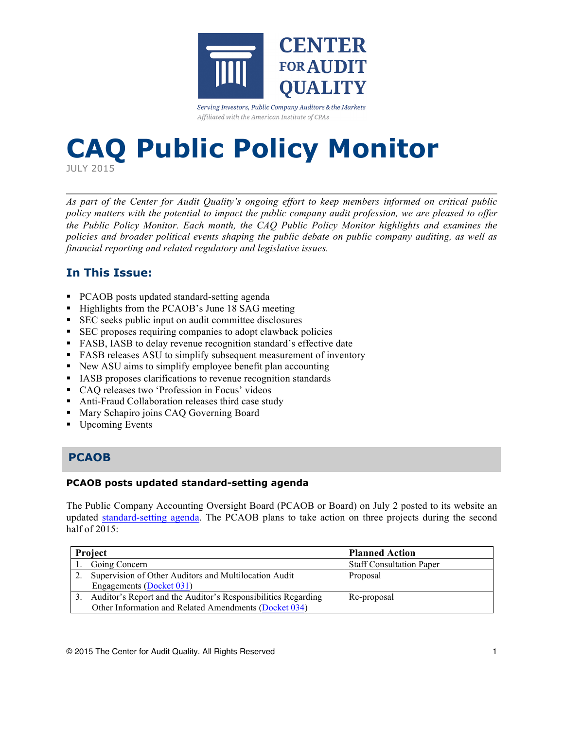

Serving Investors, Public Company Auditors & the Markets Affiliated with the American Institute of CPAs

# **CAQ Public Policy Monitor**

JULY 2015

*As part of the Center for Audit Quality's ongoing effort to keep members informed on critical public policy matters with the potential to impact the public company audit profession, we are pleased to offer the Public Policy Monitor. Each month, the CAQ Public Policy Monitor highlights and examines the policies and broader political events shaping the public debate on public company auditing, as well as financial reporting and related regulatory and legislative issues.*

# **In This Issue:**

- PCAOB posts updated standard-setting agenda
- Highlights from the PCAOB's June 18 SAG meeting
- SEC seeks public input on audit committee disclosures
- SEC proposes requiring companies to adopt clawback policies
- FASB, IASB to delay revenue recognition standard's effective date
- FASB releases ASU to simplify subsequent measurement of inventory
- New ASU aims to simplify employee benefit plan accounting
- § IASB proposes clarifications to revenue recognition standards
- CAQ releases two 'Profession in Focus' videos
- Anti-Fraud Collaboration releases third case study
- Mary Schapiro joins CAQ Governing Board
- Upcoming Events

## **PCAOB**

#### **PCAOB posts updated standard-setting agenda**

The Public Company Accounting Oversight Board (PCAOB or Board) on July 2 posted to its website an updated [standard-setting agenda.](http://pcaobus.org/Standards/Documents/201506_standard_setting_agenda.pdf) The PCAOB plans to take action on three projects during the second half of 2015:

| Project |                                                               | <b>Planned Action</b>           |
|---------|---------------------------------------------------------------|---------------------------------|
|         | Going Concern                                                 | <b>Staff Consultation Paper</b> |
|         | Supervision of Other Auditors and Multilocation Audit         | Proposal                        |
|         | Engagements (Docket 031)                                      |                                 |
|         | Auditor's Report and the Auditor's Responsibilities Regarding | Re-proposal                     |
|         | Other Information and Related Amendments (Docket 034)         |                                 |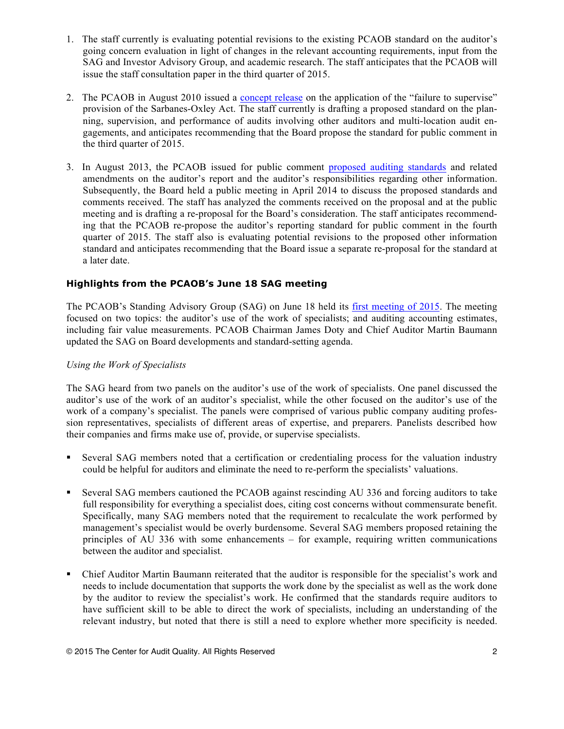- 1. The staff currently is evaluating potential revisions to the existing PCAOB standard on the auditor's going concern evaluation in light of changes in the relevant accounting requirements, input from the SAG and Investor Advisory Group, and academic research. The staff anticipates that the PCAOB will issue the staff consultation paper in the third quarter of 2015.
- 2. The PCAOB in August 2010 issued a [concept release](http://pcaobus.org/Rules/Rulemaking/Docket031/Release_2010-005_Failure_to_Supervise.pdf) on the application of the "failure to supervise" provision of the Sarbanes-Oxley Act. The staff currently is drafting a proposed standard on the planning, supervision, and performance of audits involving other auditors and multi-location audit engagements, and anticipates recommending that the Board propose the standard for public comment in the third quarter of 2015.
- 3. In August 2013, the PCAOB issued for public comment [proposed auditing standards](http://pcaobus.org/Rules/Rulemaking/Docket034/Release_2013-005_ARM.pdf) and related amendments on the auditor's report and the auditor's responsibilities regarding other information. Subsequently, the Board held a public meeting in April 2014 to discuss the proposed standards and comments received. The staff has analyzed the comments received on the proposal and at the public meeting and is drafting a re-proposal for the Board's consideration. The staff anticipates recommending that the PCAOB re-propose the auditor's reporting standard for public comment in the fourth quarter of 2015. The staff also is evaluating potential revisions to the proposed other information standard and anticipates recommending that the Board issue a separate re-proposal for the standard at a later date.

#### **Highlights from the PCAOB's June 18 SAG meeting**

The PCAOB's Standing Advisory Group (SAG) on June 18 held its [first meeting of 2015](http://pcaobus.org/News/Events/Pages/June_2015_SAG.aspx). The meeting focused on two topics: the auditor's use of the work of specialists; and auditing accounting estimates, including fair value measurements. PCAOB Chairman James Doty and Chief Auditor Martin Baumann updated the SAG on Board developments and standard-setting agenda.

#### *Using the Work of Specialists*

The SAG heard from two panels on the auditor's use of the work of specialists. One panel discussed the auditor's use of the work of an auditor's specialist, while the other focused on the auditor's use of the work of a company's specialist. The panels were comprised of various public company auditing profession representatives, specialists of different areas of expertise, and preparers. Panelists described how their companies and firms make use of, provide, or supervise specialists.

- § Several SAG members noted that a certification or credentialing process for the valuation industry could be helpful for auditors and eliminate the need to re-perform the specialists' valuations.
- § Several SAG members cautioned the PCAOB against rescinding AU 336 and forcing auditors to take full responsibility for everything a specialist does, citing cost concerns without commensurate benefit. Specifically, many SAG members noted that the requirement to recalculate the work performed by management's specialist would be overly burdensome. Several SAG members proposed retaining the principles of AU 336 with some enhancements – for example, requiring written communications between the auditor and specialist.
- § Chief Auditor Martin Baumann reiterated that the auditor is responsible for the specialist's work and needs to include documentation that supports the work done by the specialist as well as the work done by the auditor to review the specialist's work. He confirmed that the standards require auditors to have sufficient skill to be able to direct the work of specialists, including an understanding of the relevant industry, but noted that there is still a need to explore whether more specificity is needed.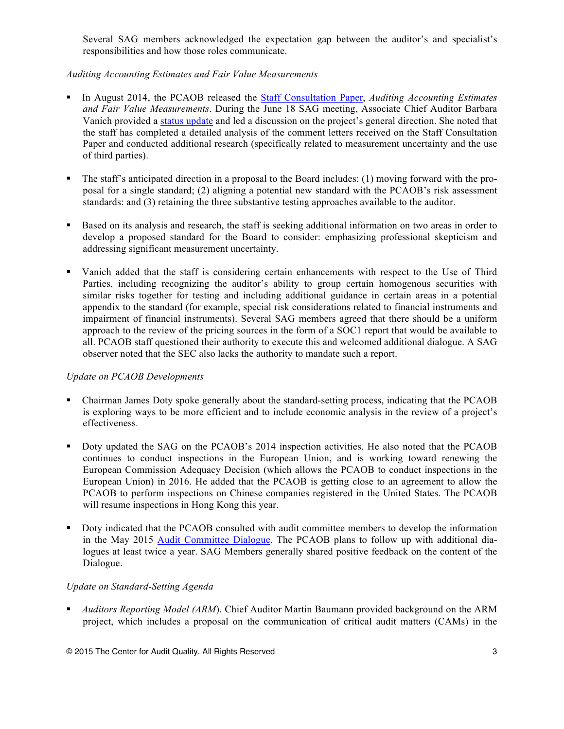Several SAG members acknowledged the expectation gap between the auditor's and specialist's responsibilities and how those roles communicate.

#### *Auditing Accounting Estimates and Fair Value Measurements*

- § In August 2014, the PCAOB released the [Staff Consultation Paper,](http://pcaobus.org/Standards/Documents/SCP_Auditing_Accounting_Estimates_Fair_Value_Measurements.pdf) *Auditing Accounting Estimates and Fair Value Measurements*. During the June 18 SAG meeting, Associate Chief Auditor Barbara Vanich provided a [status update](http://pcaobus.org/News/Events/Documents/06182015_SAGMeeting/Accounting_Estimates_and_Fair_Value.pdf) and led a discussion on the project's general direction. She noted that the staff has completed a detailed analysis of the comment letters received on the Staff Consultation Paper and conducted additional research (specifically related to measurement uncertainty and the use of third parties).
- The staff's anticipated direction in a proposal to the Board includes: (1) moving forward with the proposal for a single standard; (2) aligning a potential new standard with the PCAOB's risk assessment standards: and (3) retaining the three substantive testing approaches available to the auditor.
- § Based on its analysis and research, the staff is seeking additional information on two areas in order to develop a proposed standard for the Board to consider: emphasizing professional skepticism and addressing significant measurement uncertainty.
- Vanich added that the staff is considering certain enhancements with respect to the Use of Third Parties, including recognizing the auditor's ability to group certain homogenous securities with similar risks together for testing and including additional guidance in certain areas in a potential appendix to the standard (for example, special risk considerations related to financial instruments and impairment of financial instruments). Several SAG members agreed that there should be a uniform approach to the review of the pricing sources in the form of a SOC1 report that would be available to all. PCAOB staff questioned their authority to execute this and welcomed additional dialogue. A SAG observer noted that the SEC also lacks the authority to mandate such a report.

#### *Update on PCAOB Developments*

- § Chairman James Doty spoke generally about the standard-setting process, indicating that the PCAOB is exploring ways to be more efficient and to include economic analysis in the review of a project's effectiveness.
- § Doty updated the SAG on the PCAOB's 2014 inspection activities. He also noted that the PCAOB continues to conduct inspections in the European Union, and is working toward renewing the European Commission Adequacy Decision (which allows the PCAOB to conduct inspections in the European Union) in 2016. He added that the PCAOB is getting close to an agreement to allow the PCAOB to perform inspections on Chinese companies registered in the United States. The PCAOB will resume inspections in Hong Kong this year.
- Doty indicated that the PCAOB consulted with audit committee members to develop the information in the May 2015 [Audit Committee Dialogue.](http://pcaobus.org/sites/digitalpublications/Pages/auditcommittees.aspx) The PCAOB plans to follow up with additional dialogues at least twice a year. SAG Members generally shared positive feedback on the content of the Dialogue.

#### *Update on Standard-Setting Agenda*

§ *Auditors Reporting Model (ARM*). Chief Auditor Martin Baumann provided background on the ARM project, which includes a proposal on the communication of critical audit matters (CAMs) in the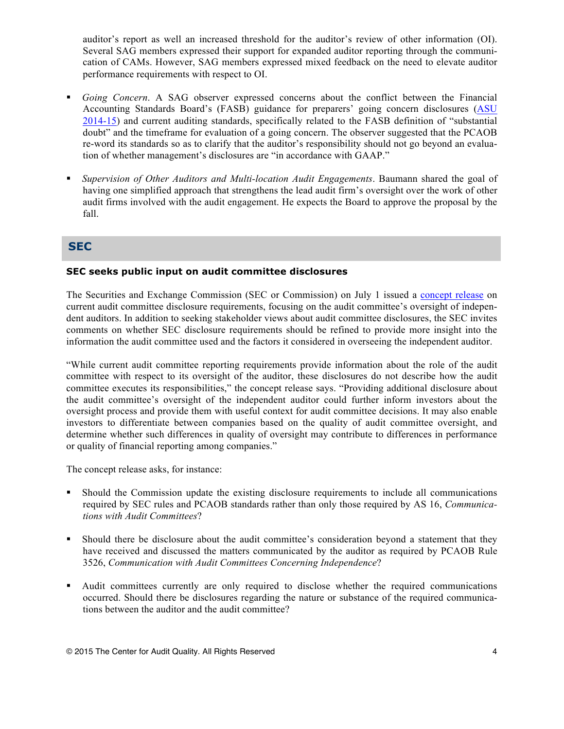auditor's report as well an increased threshold for the auditor's review of other information (OI). Several SAG members expressed their support for expanded auditor reporting through the communication of CAMs. However, SAG members expressed mixed feedback on the need to elevate auditor performance requirements with respect to OI.

- § *Going Concern*. A SAG observer expressed concerns about the conflict between the Financial Accounting Standards Board's (FASB) guidance for preparers' going concern disclosures ([ASU](http://www.fasb.org/jsp/FASB/Document_C/DocumentPage?cid=1176164329772&acceptedDisclaimer=true)  [2014-15\)](http://www.fasb.org/jsp/FASB/Document_C/DocumentPage?cid=1176164329772&acceptedDisclaimer=true) and current auditing standards, specifically related to the FASB definition of "substantial doubt" and the timeframe for evaluation of a going concern. The observer suggested that the PCAOB re-word its standards so as to clarify that the auditor's responsibility should not go beyond an evaluation of whether management's disclosures are "in accordance with GAAP."
- § *Supervision of Other Auditors and Multi-location Audit Engagements*. Baumann shared the goal of having one simplified approach that strengthens the lead audit firm's oversight over the work of other audit firms involved with the audit engagement. He expects the Board to approve the proposal by the fall.

### **SEC**

#### **SEC seeks public input on audit committee disclosures**

The Securities and Exchange Commission (SEC or Commission) on July 1 issued a [concept release](http://www.sec.gov/rules/concept/2015/33-9862.pdf) on current audit committee disclosure requirements, focusing on the audit committee's oversight of independent auditors. In addition to seeking stakeholder views about audit committee disclosures, the SEC invites comments on whether SEC disclosure requirements should be refined to provide more insight into the information the audit committee used and the factors it considered in overseeing the independent auditor.

"While current audit committee reporting requirements provide information about the role of the audit committee with respect to its oversight of the auditor, these disclosures do not describe how the audit committee executes its responsibilities," the concept release says. "Providing additional disclosure about the audit committee's oversight of the independent auditor could further inform investors about the oversight process and provide them with useful context for audit committee decisions. It may also enable investors to differentiate between companies based on the quality of audit committee oversight, and determine whether such differences in quality of oversight may contribute to differences in performance or quality of financial reporting among companies."

The concept release asks, for instance:

- § Should the Commission update the existing disclosure requirements to include all communications required by SEC rules and PCAOB standards rather than only those required by AS 16, *Communications with Audit Committees*?
- § Should there be disclosure about the audit committee's consideration beyond a statement that they have received and discussed the matters communicated by the auditor as required by PCAOB Rule 3526, *Communication with Audit Committees Concerning Independence*?
- § Audit committees currently are only required to disclose whether the required communications occurred. Should there be disclosures regarding the nature or substance of the required communications between the auditor and the audit committee?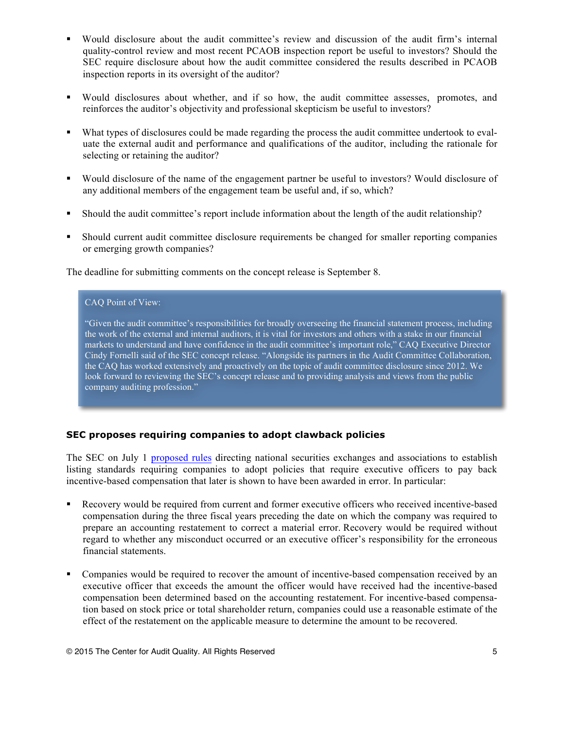- § Would disclosure about the audit committee's review and discussion of the audit firm's internal quality-control review and most recent PCAOB inspection report be useful to investors? Should the SEC require disclosure about how the audit committee considered the results described in PCAOB inspection reports in its oversight of the auditor?
- Would disclosures about whether, and if so how, the audit committee assesses, promotes, and reinforces the auditor's objectivity and professional skepticism be useful to investors?
- What types of disclosures could be made regarding the process the audit committee undertook to evaluate the external audit and performance and qualifications of the auditor, including the rationale for selecting or retaining the auditor?
- § Would disclosure of the name of the engagement partner be useful to investors? Would disclosure of any additional members of the engagement team be useful and, if so, which?
- § Should the audit committee's report include information about the length of the audit relationship?
- § Should current audit committee disclosure requirements be changed for smaller reporting companies or emerging growth companies?

The deadline for submitting comments on the concept release is September 8.

#### CAQ Point of View:

"Given the audit committee's responsibilities for broadly overseeing the financial statement process, including the work of the external and internal auditors, it is vital for investors and others with a stake in our financial markets to understand and have confidence in the audit committee's important role," CAQ Executive Director Cindy Fornelli said of the SEC concept release. "Alongside its partners in the Audit Committee Collaboration, the CAQ has worked extensively and proactively on the topic of audit committee disclosure since 2012. We look forward to reviewing the SEC's concept release and to providing analysis and views from the public company auditing profession."

#### **SEC proposes requiring companies to adopt clawback policies**

The SEC on July 1 [proposed rules](http://www.sec.gov/news/pressrelease/2015-136.html) directing national securities exchanges and associations to establish listing standards requiring companies to adopt policies that require executive officers to pay back incentive-based compensation that later is shown to have been awarded in error. In particular:

- Recovery would be required from current and former executive officers who received incentive-based compensation during the three fiscal years preceding the date on which the company was required to prepare an accounting restatement to correct a material error. Recovery would be required without regard to whether any misconduct occurred or an executive officer's responsibility for the erroneous financial statements.
- § Companies would be required to recover the amount of incentive-based compensation received by an executive officer that exceeds the amount the officer would have received had the incentive-based compensation been determined based on the accounting restatement. For incentive-based compensation based on stock price or total shareholder return, companies could use a reasonable estimate of the effect of the restatement on the applicable measure to determine the amount to be recovered.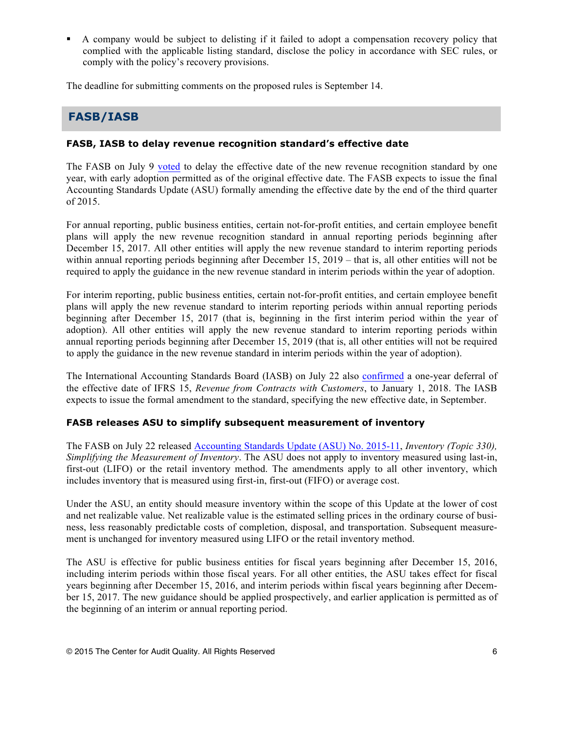§ A company would be subject to delisting if it failed to adopt a compensation recovery policy that complied with the applicable listing standard, disclose the policy in accordance with SEC rules, or comply with the policy's recovery provisions.

The deadline for submitting comments on the proposed rules is September 14.

## **FASB/IASB**

#### **FASB, IASB to delay revenue recognition standard's effective date**

The FASB on July 9 [voted](http://www.fasb.org/cs/ContentServer?c=FASBContent_C&pagename=FASB%2FFASBContent_C%2FActionAlertPage&cid=1176166178556) to delay the effective date of the new revenue recognition standard by one year, with early adoption permitted as of the original effective date. The FASB expects to issue the final Accounting Standards Update (ASU) formally amending the effective date by the end of the third quarter of 2015.

For annual reporting, public business entities, certain not-for-profit entities, and certain employee benefit plans will apply the new revenue recognition standard in annual reporting periods beginning after December 15, 2017. All other entities will apply the new revenue standard to interim reporting periods within annual reporting periods beginning after December 15, 2019 – that is, all other entities will not be required to apply the guidance in the new revenue standard in interim periods within the year of adoption.

For interim reporting, public business entities, certain not-for-profit entities, and certain employee benefit plans will apply the new revenue standard to interim reporting periods within annual reporting periods beginning after December 15, 2017 (that is, beginning in the first interim period within the year of adoption). All other entities will apply the new revenue standard to interim reporting periods within annual reporting periods beginning after December 15, 2019 (that is, all other entities will not be required to apply the guidance in the new revenue standard in interim periods within the year of adoption).

The International Accounting Standards Board (IASB) on July 22 also [confirmed](http://www.ifrs.org/Alerts/PressRelease/Pages/IASB-confirms-one-year-deferral-of-effective-date-of-revenue-Standard.aspx) a one-year deferral of the effective date of IFRS 15, *Revenue from Contracts with Customers*, to January 1, 2018. The IASB expects to issue the formal amendment to the standard, specifying the new effective date, in September.

#### **FASB releases ASU to simplify subsequent measurement of inventory**

The FASB on July 22 released [Accounting Standards Update \(ASU\) No. 2015-11,](http://www.fasb.org/jsp/FASB/Document_C/DocumentPage?cid=1176166207669&acceptedDisclaimer=true) *Inventory (Topic 330), Simplifying the Measurement of Inventory*. The ASU does not apply to inventory measured using last-in, first-out (LIFO) or the retail inventory method. The amendments apply to all other inventory, which includes inventory that is measured using first-in, first-out (FIFO) or average cost.

Under the ASU, an entity should measure inventory within the scope of this Update at the lower of cost and net realizable value. Net realizable value is the estimated selling prices in the ordinary course of business, less reasonably predictable costs of completion, disposal, and transportation. Subsequent measurement is unchanged for inventory measured using LIFO or the retail inventory method.

The ASU is effective for public business entities for fiscal years beginning after December 15, 2016, including interim periods within those fiscal years. For all other entities, the ASU takes effect for fiscal years beginning after December 15, 2016, and interim periods within fiscal years beginning after December 15, 2017. The new guidance should be applied prospectively, and earlier application is permitted as of the beginning of an interim or annual reporting period.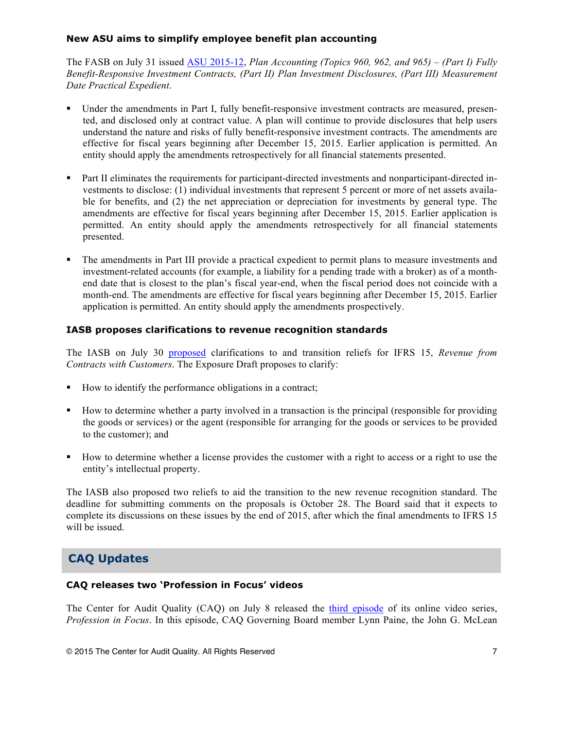#### **New ASU aims to simplify employee benefit plan accounting**

The FASB on July 31 issued [ASU 2015-12](http://www.fasb.org/jsp/FASB/Document_C/DocumentPage?cid=1176166228978&acceptedDisclaimer=true), *Plan Accounting (Topics 960, 962, and 965) – (Part I) Fully Benefit-Responsive Investment Contracts, (Part II) Plan Investment Disclosures, (Part III) Measurement Date Practical Expedient*.

- Under the amendments in Part I, fully benefit-responsive investment contracts are measured, presented, and disclosed only at contract value. A plan will continue to provide disclosures that help users understand the nature and risks of fully benefit-responsive investment contracts. The amendments are effective for fiscal years beginning after December 15, 2015. Earlier application is permitted. An entity should apply the amendments retrospectively for all financial statements presented.
- Part II eliminates the requirements for participant-directed investments and nonparticipant-directed investments to disclose: (1) individual investments that represent 5 percent or more of net assets available for benefits, and (2) the net appreciation or depreciation for investments by general type. The amendments are effective for fiscal years beginning after December 15, 2015. Earlier application is permitted. An entity should apply the amendments retrospectively for all financial statements presented.
- The amendments in Part III provide a practical expedient to permit plans to measure investments and investment-related accounts (for example, a liability for a pending trade with a broker) as of a monthend date that is closest to the plan's fiscal year-end, when the fiscal period does not coincide with a month-end. The amendments are effective for fiscal years beginning after December 15, 2015. Earlier application is permitted. An entity should apply the amendments prospectively.

#### **IASB proposes clarifications to revenue recognition standards**

The IASB on July 30 [proposed](http://www.ifrs.org/Current-Projects/IASB-Projects/Clarifications-IFRS-15-Issues-from-TRG-discussions/Pages/Clarifications-to-IFRS-15-Exposure-Draft-and-Comment-Letters.aspx) clarifications to and transition reliefs for IFRS 15, *Revenue from Contracts with Customers*. The Exposure Draft proposes to clarify:

- How to identify the performance obligations in a contract;
- How to determine whether a party involved in a transaction is the principal (responsible for providing the goods or services) or the agent (responsible for arranging for the goods or services to be provided to the customer); and
- § How to determine whether a license provides the customer with a right to access or a right to use the entity's intellectual property.

The IASB also proposed two reliefs to aid the transition to the new revenue recognition standard. The deadline for submitting comments on the proposals is October 28. The Board said that it expects to complete its discussions on these issues by the end of 2015, after which the final amendments to IFRS 15 will be issued.

# **CAQ Updates**

#### **CAQ releases two 'Profession in Focus' videos**

The Center for Audit Quality (CAQ) on July 8 released the [third episode](https://youtu.be/zrq58AANSkk) of its online video series, *Profession in Focus*. In this episode, CAQ Governing Board member Lynn Paine, the John G. McLean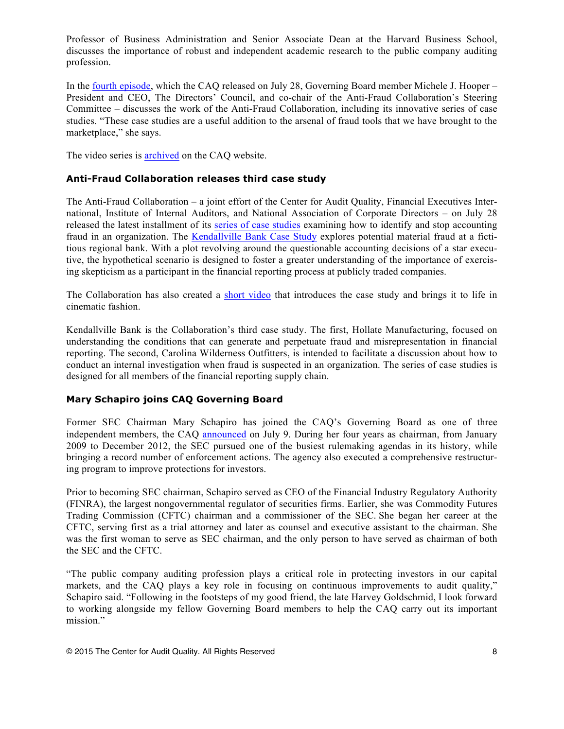Professor of Business Administration and Senior Associate Dean at the Harvard Business School, discusses the importance of robust and independent academic research to the public company auditing profession.

In the [fourth episode](https://youtu.be/UV6StWj5qZM), which the CAQ released on July 28, Governing Board member Michele J. Hooper – President and CEO, The Directors' Council, and co-chair of the Anti-Fraud Collaboration's Steering Committee – discusses the work of the Anti-Fraud Collaboration, including its innovative series of case studies. "These case studies are a useful addition to the arsenal of fraud tools that we have brought to the marketplace," she says.

The video series is [archived](http://www.thecaq.org/resources/video-library/profession-in-focus) on the CAQ website.

#### **Anti-Fraud Collaboration releases third case study**

The Anti-Fraud Collaboration – a joint effort of the Center for Audit Quality, Financial Executives International, Institute of Internal Auditors, and National Association of Corporate Directors – on July 28 released the latest installment of its [series of case studies](http://antifraudcollaboration.org/resources/case-studies/) examining how to identify and stop accounting fraud in an organization. The [Kendallville Bank Case Study](http://www.thecaq.org/docs/default-source/reports-and-publications/caq_kendallville_bank.pdf) explores potential material fraud at a fictitious regional bank. With a plot revolving around the questionable accounting decisions of a star executive, the hypothetical scenario is designed to foster a greater understanding of the importance of exercising skepticism as a participant in the financial reporting process at publicly traded companies.

The Collaboration has also created a [short video](https://www.youtube.com/watch?v=TYWzl_KRpXg&feature=youtu.be) that introduces the case study and brings it to life in cinematic fashion.

Kendallville Bank is the Collaboration's third case study. The first, Hollate Manufacturing, focused on understanding the conditions that can generate and perpetuate fraud and misrepresentation in financial reporting. The second, Carolina Wilderness Outfitters, is intended to facilitate a discussion about how to conduct an internal investigation when fraud is suspected in an organization. The series of case studies is designed for all members of the financial reporting supply chain.

#### **Mary Schapiro joins CAQ Governing Board**

Former SEC Chairman Mary Schapiro has joined the CAQ's Governing Board as one of three independent members, the CAQ [announced](http://www.thecaq.org/newsroom/2015/07/09/mary-l.-schapiro-joins-caq-governing-board) on July 9. During her four years as chairman, from January 2009 to December 2012, the SEC pursued one of the busiest rulemaking agendas in its history, while bringing a record number of enforcement actions. The agency also executed a comprehensive restructuring program to improve protections for investors.

Prior to becoming SEC chairman, Schapiro served as CEO of the Financial Industry Regulatory Authority (FINRA), the largest nongovernmental regulator of securities firms. Earlier, she was Commodity Futures Trading Commission (CFTC) chairman and a commissioner of the SEC. She began her career at the CFTC, serving first as a trial attorney and later as counsel and executive assistant to the chairman. She was the first woman to serve as SEC chairman, and the only person to have served as chairman of both the SEC and the CFTC.

"The public company auditing profession plays a critical role in protecting investors in our capital markets, and the CAQ plays a key role in focusing on continuous improvements to audit quality," Schapiro said. "Following in the footsteps of my good friend, the late Harvey Goldschmid, I look forward to working alongside my fellow Governing Board members to help the CAQ carry out its important mission."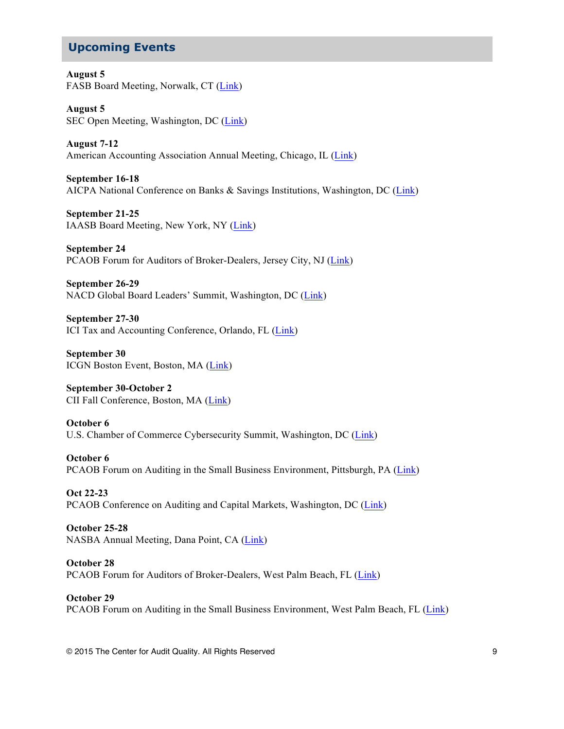## **Upcoming Events**

**August 5** FASB Board Meeting, Norwalk, CT [\(Link](http://www.fasb.org/jsp/FASB/Page/SectionPage&cid=1218220079452))

**August 5** SEC Open Meeting, Washington, DC [\(Link\)](http://www.sec.gov/news/openmeetings/2015/ssamtg080515.htm)

**August 7-12** American Accounting Association Annual Meeting, Chicago, IL [\(Link](http://aaahq.org/Meetings/Annual-Meeting))

**September 16-18** AICPA National Conference on Banks & Savings Institutions, Washington, DC [\(Link\)](http://www.cpa2biz.com/AST/Main/CPA2BIZ_Primary/AuditAttest/PRDOVR~PC-BANK/PC-BANK.jsp)

**September 21-25** IAASB Board Meeting, New York, NY [\(Link\)](http://www.ifac.org/auditing-assurance/meetings/new-york-usa-10)

**September 24** PCAOB Forum for Auditors of Broker-Dealers, Jersey City, NJ [\(Link\)](http://pcaobus.org/News/Events/Pages/BDF_JerseyCity.aspx)

**September 26-29** NACD Global Board Leaders' Summit, Washington, DC [\(Link\)](http://www.nacdonline.org/Conference/content.cfm?ItemNumber=4755)

**September 27-30** ICI Tax and Accounting Conference, Orlando, FL ([Link\)](http://www.ici.org/events/upcoming/conf_15_tac)

**September 30** ICGN Boston Event, Boston, MA [\(Link\)](https://www.icgn.org/conferences/)

**September 30-October 2** CII Fall Conference, Boston, MA [\(Link\)](http://www.cii.org/calendar_day.asp?date=9/30/2015)

**October 6** U.S. Chamber of Commerce Cybersecurity Summit, Washington, DC [\(Link](https://www.uschamber.com/event/fourth-annual-cybersecurity-summit))

**October 6** PCAOB Forum on Auditing in the Small Business Environment, Pittsburgh, PA [\(Link\)](http://pcaobus.org/News/Events/Pages/SBF_Pittsburgh.aspx)

**Oct 22-23** PCAOB Conference on Auditing and Capital Markets, Washington, DC [\(Link\)](http://pcaobus.org/News/Events/Pages/2015_CEA_Conference.aspx)

**October 25-28** NASBA Annual Meeting, Dana Point, CA [\(Link\)](http://nasba.org/blog/2011/01/26/2015annualmeeting)

**October 28** PCAOB Forum for Auditors of Broker-Dealers, West Palm Beach, FL ([Link](http://pcaobus.org/News/Events/Pages/BDF_WestPalmBeach.aspx))

**October 29** PCAOB Forum on Auditing in the Small Business Environment, West Palm Beach, FL [\(Link\)](http://pcaobus.org/News/Events/Pages/SBF_WestPalmBeach.aspx)

© 2015 The Center for Audit Quality. All Rights Reserved 9